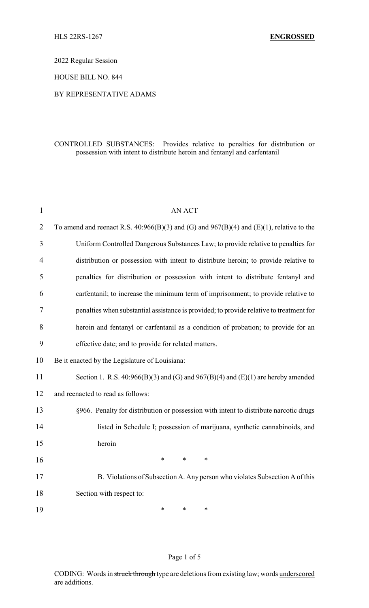2022 Regular Session

HOUSE BILL NO. 844

## BY REPRESENTATIVE ADAMS

## CONTROLLED SUBSTANCES: Provides relative to penalties for distribution or possession with intent to distribute heroin and fentanyl and carfentanil

| $\mathbf{1}$   | <b>AN ACT</b>                                                                                |
|----------------|----------------------------------------------------------------------------------------------|
| $\overline{2}$ | To amend and reenact R.S. $40:966(B)(3)$ and (G) and $967(B)(4)$ and (E)(1), relative to the |
| 3              | Uniform Controlled Dangerous Substances Law; to provide relative to penalties for            |
| 4              | distribution or possession with intent to distribute heroin; to provide relative to          |
| 5              | penalties for distribution or possession with intent to distribute fentanyl and              |
| 6              | carfentanil; to increase the minimum term of imprisonment; to provide relative to            |
| 7              | penalties when substantial assistance is provided; to provide relative to treatment for      |
| 8              | heroin and fentanyl or carfentanil as a condition of probation; to provide for an            |
| 9              | effective date; and to provide for related matters.                                          |
| 10             | Be it enacted by the Legislature of Louisiana:                                               |
| 11             | Section 1. R.S. $40:966(B)(3)$ and (G) and $967(B)(4)$ and (E)(1) are hereby amended         |
| 12             | and reenacted to read as follows:                                                            |
| 13             | §966. Penalty for distribution or possession with intent to distribute narcotic drugs        |
| 14             | listed in Schedule I; possession of marijuana, synthetic cannabinoids, and                   |
| 15             | heroin                                                                                       |
| 16             | $\ast$<br>$\ast$<br>$\ast$                                                                   |
| 17             | B. Violations of Subsection A. Any person who violates Subsection A of this                  |
| 18             | Section with respect to:                                                                     |
| 19             | *<br>$\ast$<br>*                                                                             |

## Page 1 of 5

CODING: Words in struck through type are deletions from existing law; words underscored are additions.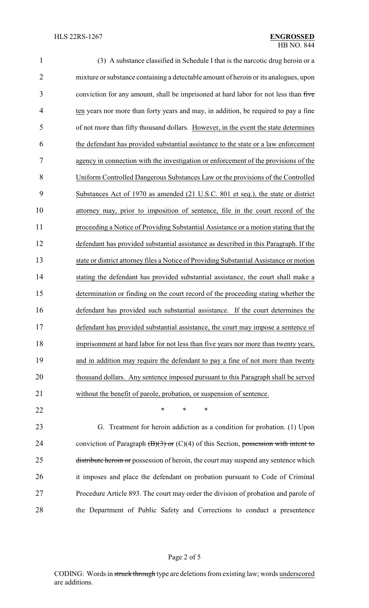| 1              | (3) A substance classified in Schedule I that is the narcotic drug heroin or a          |
|----------------|-----------------------------------------------------------------------------------------|
| $\overline{2}$ | mixture or substance containing a detectable amount of heroin or its analogues, upon    |
| 3              | conviction for any amount, shall be imprisoned at hard labor for not less than five     |
| 4              | ten years nor more than forty years and may, in addition, be required to pay a fine     |
| 5              | of not more than fifty thousand dollars. However, in the event the state determines     |
| 6              | the defendant has provided substantial assistance to the state or a law enforcement     |
| 7              | agency in connection with the investigation or enforcement of the provisions of the     |
| 8              | Uniform Controlled Dangerous Substances Law or the provisions of the Controlled         |
| 9              | Substances Act of 1970 as amended (21 U.S.C. 801 et seq.), the state or district        |
| 10             | attorney may, prior to imposition of sentence, file in the court record of the          |
| 11             | proceeding a Notice of Providing Substantial Assistance or a motion stating that the    |
| 12             | defendant has provided substantial assistance as described in this Paragraph. If the    |
| 13             | state or district attorney files a Notice of Providing Substantial Assistance or motion |
| 14             | stating the defendant has provided substantial assistance, the court shall make a       |
| 15             | determination or finding on the court record of the proceeding stating whether the      |
| 16             | defendant has provided such substantial assistance. If the court determines the         |
| 17             | defendant has provided substantial assistance, the court may impose a sentence of       |
| 18             | imprisonment at hard labor for not less than five years nor more than twenty years,     |
| 19             | and in addition may require the defendant to pay a fine of not more than twenty         |
| 20             | thousand dollars. Any sentence imposed pursuant to this Paragraph shall be served       |
| 21             | without the benefit of parole, probation, or suspension of sentence.                    |
| 22             | $\ast$<br>∗<br>*                                                                        |
| 23             | Treatment for heroin addiction as a condition for probation. (1) Upon<br>G.             |
|                |                                                                                         |

24 conviction of Paragraph  $(\overline{B})(3)$  or  $(C)(4)$  of this Section, possession with intent to 25 distribute heroin or possession of heroin, the court may suspend any sentence which it imposes and place the defendant on probation pursuant to Code of Criminal Procedure Article 893. The court may order the division of probation and parole of the Department of Public Safety and Corrections to conduct a presentence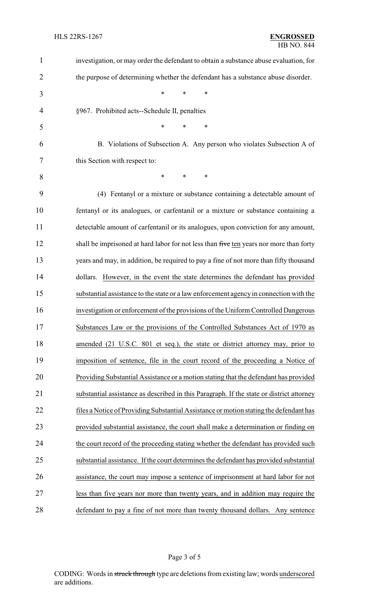| $\mathbf{1}$   | investigation, or may order the defendant to obtain a substance abuse evaluation, for    |
|----------------|------------------------------------------------------------------------------------------|
| $\overline{2}$ | the purpose of determining whether the defendant has a substance abuse disorder.         |
| 3              | *<br>*<br>*                                                                              |
| $\overline{4}$ | §967. Prohibited acts--Schedule II, penalties                                            |
| 5              | *<br>*<br>*                                                                              |
| 6              | B. Violations of Subsection A. Any person who violates Subsection A of                   |
| 7              | this Section with respect to:                                                            |
| 8              | *<br>*<br>$\ast$                                                                         |
| 9              | (4) Fentanyl or a mixture or substance containing a detectable amount of                 |
| 10             | fentanyl or its analogues, or carfentanil or a mixture or substance containing a         |
| 11             | detectable amount of carfentanil or its analogues, upon conviction for any amount,       |
| 12             | shall be imprisoned at hard labor for not less than five ten years nor more than forty   |
| 13             | years and may, in addition, be required to pay a fine of not more than fifty thousand    |
| 14             | dollars. However, in the event the state determines the defendant has provided           |
| 15             | substantial assistance to the state or a law enforcement agency in connection with the   |
| 16             | investigation or enforcement of the provisions of the Uniform Controlled Dangerous       |
| 17             | Substances Law or the provisions of the Controlled Substances Act of 1970 as             |
| 18             | amended (21 U.S.C. 801 et seq.), the state or district attorney may, prior to            |
| 19             | imposition of sentence, file in the court record of the proceeding a Notice of           |
| 20             | Providing Substantial Assistance or a motion stating that the defendant has provided     |
| 21             | substantial assistance as described in this Paragraph. If the state or district attorney |
| 22             | files a Notice of Providing Substantial Assistance or motion stating the defendant has   |
| 23             | provided substantial assistance, the court shall make a determination or finding on      |
| 24             | the court record of the proceeding stating whether the defendant has provided such       |
| 25             | substantial assistance. If the court determines the defendant has provided substantial   |
| 26             | assistance, the court may impose a sentence of imprisonment at hard labor for not        |
| 27             | less than five years nor more than twenty years, and in addition may require the         |
| 28             | defendant to pay a fine of not more than twenty thousand dollars. Any sentence           |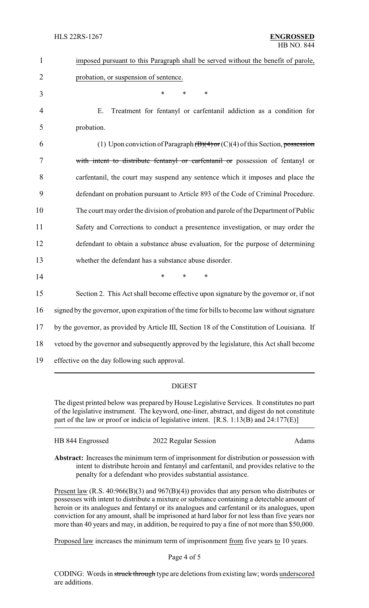| $\mathbf{1}$   | imposed pursuant to this Paragraph shall be served without the benefit of parole,             |
|----------------|-----------------------------------------------------------------------------------------------|
| $\overline{2}$ | probation, or suspension of sentence.                                                         |
| 3              | *<br>$\ast$<br>$\ast$                                                                         |
| $\overline{4}$ | Treatment for fentanyl or carfentanil addiction as a condition for<br>E.                      |
| 5              | probation.                                                                                    |
| 6              | (1) Upon conviction of Paragraph $(B)(4)$ or $(C)(4)$ of this Section, possession             |
| 7              | with intent to distribute fentanyl or carfentanil or possession of fentanyl or                |
| 8              | carfentanil, the court may suspend any sentence which it imposes and place the                |
| 9              | defendant on probation pursuant to Article 893 of the Code of Criminal Procedure.             |
| 10             | The court may order the division of probation and parole of the Department of Public          |
| 11             | Safety and Corrections to conduct a presentence investigation, or may order the               |
| 12             | defendant to obtain a substance abuse evaluation, for the purpose of determining              |
| 13             | whether the defendant has a substance abuse disorder.                                         |
| 14             | *<br>*<br>*                                                                                   |
| 15             | Section 2. This Act shall become effective upon signature by the governor or, if not          |
| 16             | signed by the governor, upon expiration of the time for bills to become law without signature |
| 17             | by the governor, as provided by Article III, Section 18 of the Constitution of Louisiana. If  |
| 18             | vetoed by the governor and subsequently approved by the legislature, this Act shall become    |
| 19             | effective on the day following such approval.                                                 |

## DIGEST

The digest printed below was prepared by House Legislative Services. It constitutes no part of the legislative instrument. The keyword, one-liner, abstract, and digest do not constitute part of the law or proof or indicia of legislative intent. [R.S. 1:13(B) and 24:177(E)]

| HB 844 Engrossed | 2022 Regular Session | Adams |
|------------------|----------------------|-------|
|                  |                      |       |

**Abstract:** Increases the minimum term of imprisonment for distribution or possession with intent to distribute heroin and fentanyl and carfentanil, and provides relative to the penalty for a defendant who provides substantial assistance.

Present law (R.S. 40:966(B)(3) and 967(B)(4)) provides that any person who distributes or possesses with intent to distribute a mixture or substance containing a detectable amount of heroin or its analogues and fentanyl or its analogues and carfentanil or its analogues, upon conviction for any amount, shall be imprisoned at hard labor for not less than five years nor more than 40 years and may, in addition, be required to pay a fine of not more than \$50,000.

Proposed law increases the minimum term of imprisonment from five years to 10 years.

Page 4 of 5

CODING: Words in struck through type are deletions from existing law; words underscored are additions.